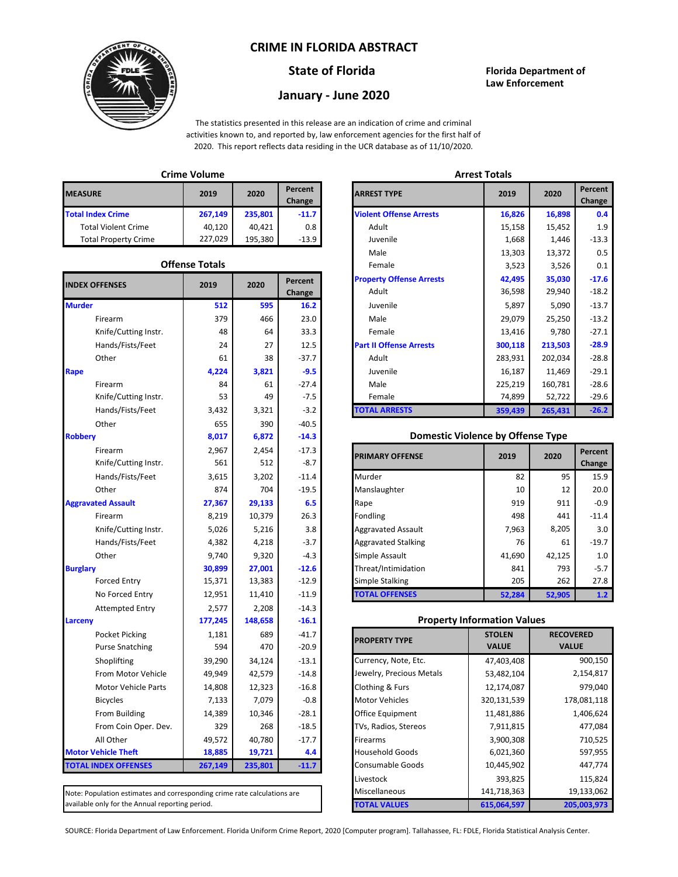### **CRIME IN FLORIDA ABSTRACT**



# **January - June 2020**

#### **State of Florida Florida Department of Law Enforcement**

The statistics presented in this release are an indication of crime and criminal activities known to, and reported by, law enforcement agencies for the first half of 2020. This report reflects data residing in the UCR database as of 11/10/2020.

|                             | <b>Crime Volume</b> |         | <b>Arrest Totals</b> |                                |     |
|-----------------------------|---------------------|---------|----------------------|--------------------------------|-----|
| <b>MEASURE</b>              | 2019                | 2020    | Percent<br>Change    | <b>ARREST TYPE</b>             | 201 |
| <b>Total Index Crime</b>    | 267.149             | 235.801 | $-11.7$              | <b>Violent Offense Arrests</b> | 16, |
| <b>Total Violent Crime</b>  | 40.120              | 40.421  | 0.8                  | Adult                          | 15, |
| <b>Total Property Crime</b> | 227.029             | 195.380 | $-13.9$              | Juvenile                       | 1,  |

| <b>INDEX OFFENSES</b>       | 2019        | 2020     | Percent           |
|-----------------------------|-------------|----------|-------------------|
| <b>Murder</b>               | 512         | 595      | Change<br>16.2    |
| Firearm                     | 379         | 466      | 23.0              |
|                             | 48          | 64       | 33.3              |
| Knife/Cutting Instr.        |             | 27       |                   |
| Hands/Fists/Feet            | 24          |          | 12.5              |
| Other                       | 61<br>4.224 | 38       | $-37.7$           |
| Rape                        |             | 3,821    | $-9.5$            |
| Firearm                     | 84<br>53    | 61<br>49 | $-27.4$<br>$-7.5$ |
| Knife/Cutting Instr.        |             |          |                   |
| Hands/Fists/Feet            | 3,432       | 3,321    | $-3.2$            |
| Other                       | 655         | 390      | $-40.5$           |
| <b>Robbery</b>              | 8,017       | 6,872    | $-14.3$           |
| Firearm                     | 2,967       | 2,454    | $-17.3$           |
| Knife/Cutting Instr.        | 561         | 512      | $-8.7$            |
| Hands/Fists/Feet            | 3,615       | 3,202    | $-11.4$           |
| Other                       | 874         | 704      | $-19.5$           |
| <b>Aggravated Assault</b>   | 27,367      | 29,133   | 6.5               |
| Firearm                     | 8,219       | 10,379   | 26.3              |
| Knife/Cutting Instr.        | 5,026       | 5,216    | 3.8               |
| Hands/Fists/Feet            | 4,382       | 4,218    | $-3.7$            |
| Other                       | 9,740       | 9,320    | $-4.3$            |
| <b>Burglary</b>             | 30,899      | 27,001   | $-12.6$           |
| <b>Forced Entry</b>         | 15,371      | 13,383   | $-12.9$           |
| No Forced Entry             | 12,951      | 11,410   | $-11.9$           |
| <b>Attempted Entry</b>      | 2,577       | 2,208    | $-14.3$           |
| Larceny                     | 177,245     | 148,658  | $-16.1$           |
| <b>Pocket Picking</b>       | 1,181       | 689      | $-41.7$           |
| <b>Purse Snatching</b>      | 594         | 470      | $-20.9$           |
| Shoplifting                 | 39,290      | 34,124   | $-13.1$           |
| From Motor Vehicle          | 49,949      | 42,579   | $-14.8$           |
| <b>Motor Vehicle Parts</b>  | 14,808      | 12,323   | $-16.8$           |
| <b>Bicycles</b>             | 7,133       | 7,079    | $-0.8$            |
| From Building               | 14,389      | 10,346   | $-28.1$           |
| From Coin Oper. Dev.        | 329         | 268      | $-18.5$           |
| All Other                   | 49,572      | 40,780   | $-17.7$           |
| <b>Motor Vehicle Theft</b>  | 18,885      | 19,721   | 4.4               |
| <b>TOTAL INDEX OFFENSES</b> | 267,149     | 235,801  | $-11.7$           |

Note: Population estimates and corresponding crime rate calculations are available only for the Annual reporting period.

|                      | GUUD VURIIR           |         |                   |                                 | лпсэг гогинэ |         |                   |  |  |
|----------------------|-----------------------|---------|-------------------|---------------------------------|--------------|---------|-------------------|--|--|
| łЕ.                  | 2019                  | 2020    | Percent<br>Change | <b>ARREST TYPE</b>              |              | 2020    | Percent<br>Change |  |  |
| lex Crime            | 267,149               | 235,801 | $-11.7$           | <b>Violent Offense Arrests</b>  | 16,826       | 16,898  | 0.4               |  |  |
| I Violent Crime      | 40,120                | 40,421  | 0.8               | Adult                           | 15,158       | 15,452  | 1.9               |  |  |
| I Property Crime     | 227,029               | 195,380 | $-13.9$           | Juvenile                        | 1,668        | 1,446   | $-13.3$           |  |  |
|                      |                       |         |                   | Male                            | 13,303       | 13,372  | 0.5               |  |  |
|                      | <b>Offense Totals</b> |         |                   | Female                          | 3,523        | 3,526   | 0.1               |  |  |
| <b>FFENSES</b>       | 2019                  | 2020    | Percent           | <b>Property Offense Arrests</b> | 42,495       | 35,030  | $-17.6$           |  |  |
|                      |                       |         | Change            | Adult                           | 36,598       | 29,940  | $-18.2$           |  |  |
|                      | 512                   | 595     | 16.2              | Juvenile                        | 5,897        | 5,090   | $-13.7$           |  |  |
| Firearm              | 379                   | 466     | 23.0              | Male                            | 29,079       | 25,250  | $-13.2$           |  |  |
| Knife/Cutting Instr. | 48                    | 64      | 33.3              | Female                          | 13,416       | 9,780   | $-27.1$           |  |  |
| Hands/Fists/Feet     | 24                    | 27      | 12.5              | <b>Part II Offense Arrests</b>  | 300,118      | 213,503 | $-28.9$           |  |  |
| Other                | 61                    | 38      | $-37.7$           | Adult                           | 283,931      | 202,034 | $-28.8$           |  |  |
|                      | 4,224                 | 3,821   | $-9.5$            | Juvenile                        | 16,187       | 11,469  | $-29.1$           |  |  |
| Firearm              | 84                    | 61      | $-27.4$           | Male                            | 225,219      | 160,781 | $-28.6$           |  |  |
| Knife/Cutting Instr. | 53                    | 49      | $-7.5$            | Female                          | 74,899       | 52,722  | $-29.6$           |  |  |
| Hands/Fists/Feet     | 3,432                 | 3,321   | $-3.2$            | <b>TOTAL ARRESTS</b>            | 359,439      | 265,431 | $-26.2$           |  |  |
|                      |                       |         |                   |                                 |              |         |                   |  |  |

#### **Domestic Violence by Offense Type**

| Firearm<br>Knife/Cutting Instr. | 2,967<br>561 | 2,454<br>512 | $-17.3$<br>$-8.7$ | <b>PRIMARY OFFENSE</b>     | 2019   | 2020   | Percent<br>Change |
|---------------------------------|--------------|--------------|-------------------|----------------------------|--------|--------|-------------------|
| Hands/Fists/Feet                | 3,615        | 3,202        | $-11.4$           | Murder                     | 82     | 95     | 15.9              |
| Other                           | 874          | 704          | $-19.5$           | Manslaughter               | 10     | 12     | 20.0              |
| ted Assault                     | 27,367       | 29,133       | 6.5               | Rape                       | 919    | 911    | $-0.9$            |
| Firearm                         | 8.219        | 10,379       | 26.3              | Fondling                   | 498    | 441    | $-11.4$           |
| Knife/Cutting Instr.            | 5,026        | 5,216        | 3.8               | <b>Aggravated Assault</b>  | 7,963  | 8,205  | 3.0               |
| Hands/Fists/Feet                | 4,382        | 4,218        | $-3.7$            | <b>Aggravated Stalking</b> | 76     | 61     | $-19.7$           |
| Other                           | 9,740        | 9,320        | $-4.3$            | Simple Assault             | 41,690 | 42,125 | 1.0               |
|                                 | 30,899       | 27,001       | $-12.6$           | Threat/Intimidation        | 841    | 793    | $-5.7$            |
| <b>Forced Entry</b>             | 15,371       | 13,383       | $-12.9$           | Simple Stalking            | 205    | 262    | 27.8              |
| No Forced Entry                 | 12,951       | 11,410       | $-11.9$           | <b>TOTAL OFFENSES</b>      | 52.284 | 52.905 | 1.2               |

#### **Property Information Values**

| <b>PROPERTY TYPE</b>     | <b>STOLEN</b><br><b>VALUE</b> | <b>RECOVERED</b><br><b>VALUE</b> |
|--------------------------|-------------------------------|----------------------------------|
| Currency, Note, Etc.     | 47,403,408                    | 900,150                          |
| Jewelry, Precious Metals | 53,482,104                    | 2,154,817                        |
| Clothing & Furs          | 12,174,087                    | 979,040                          |
| <b>Motor Vehicles</b>    | 320,131,539                   | 178,081,118                      |
| Office Equipment         | 11,481,886                    | 1,406,624                        |
| TVs, Radios, Stereos     | 7,911,815                     | 477,084                          |
| Firearms                 | 3,900,308                     | 710,525                          |
| <b>Household Goods</b>   | 6,021,360                     | 597,955                          |
| <b>Consumable Goods</b>  | 10,445,902                    | 447,774                          |
| Livestock                | 393,825                       | 115,824                          |
| Miscellaneous            | 141,718,363                   | 19,133,062                       |
| <b>TOTAL VALUES</b>      | 615.064.597                   | 205.003.973                      |

SOURCE: Florida Department of Law Enforcement. Florida Uniform Crime Report, 2020 [Computer program]. Tallahassee, FL: FDLE, Florida Statistical Analysis Center.